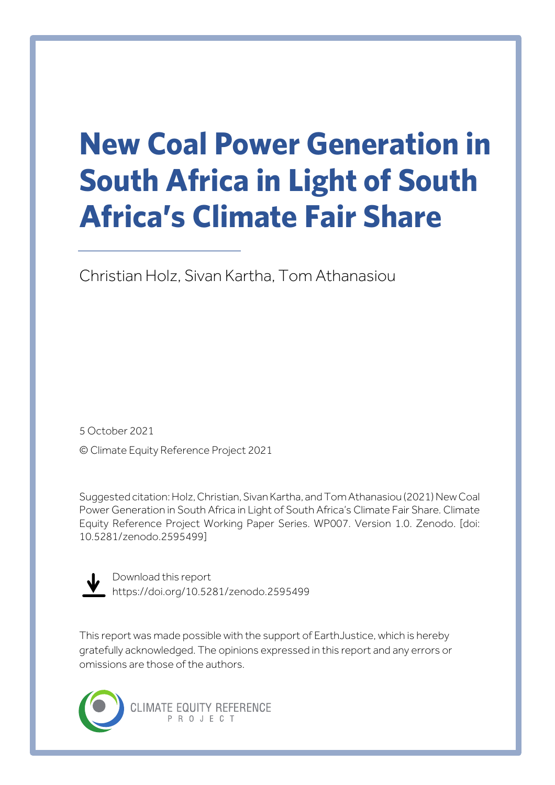# **New Coal Power Generation in South Africa in Light of South Africa's Climate Fair Share**

Christian Holz, Sivan Kartha, Tom Athanasiou

5 October 2021 © Climate Equity Reference Project 2021

Suggested citation: Holz, Christian, Sivan Kartha, and Tom Athanasiou (2021) New Coal Power Generation in South Africa in Light of South Africa's Climate Fair Share*.* Climate Equity Reference Project Working Paper Series. WP007. Version 1.0. Zenodo. [doi: 10.5281/zenodo.2595499]



Download this report https://doi.org/10.5281/zenodo.2595499

This report was made possible with the support of EarthJustice, which is hereby gratefully acknowledged. The opinions expressed in this report and any errors or omissions are those of the authors.

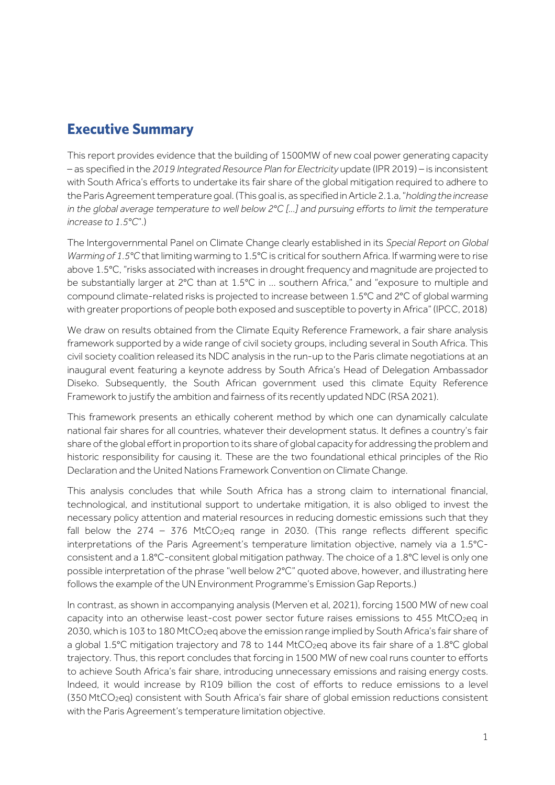## **Executive Summary**

This report provides evidence that the building of 1500MW of new coal power generating capacity – as specified in the *2019 Integrated Resource Plan for Electricity* update (IPR 2019) – is inconsistent with South Africa's efforts to undertake its fair share of the global mitigation required to adhere to the Paris Agreement temperature goal. (This goal is, as specified in Article 2.1.a, "*holding the increase in the global average temperature to well below 2°C [...] and pursuing efforts to limit the temperature increase to 1.5°C*".)

The Intergovernmental Panel on Climate Change clearly established in its *Special Report on Global Warming of 1.5°C* that limitingwarming to 1.5°C is critical for southern Africa. If warming were to rise above 1.5°C, "risks associated with increases in drought frequency and magnitude are projected to be substantially larger at 2°C than at 1.5°C in … southern Africa," and "exposure to multiple and compound climate-related risks is projected to increase between 1.5°C and 2°C of global warming with greater proportions of people both exposed and susceptible to poverty in Africa" (IPCC, 2018)

We draw on results obtained from the Climate Equity Reference Framework, a fair share analysis framework supported by a wide range of civil society groups, including several in South Africa. This civil society coalition released its NDC analysis in the run-up to the Paris climate negotiations at an inaugural event featuring a keynote address by South Africa's Head of Delegation Ambassador Diseko. Subsequently, the South African government used this climate Equity Reference Framework to justify the ambition and fairness of its recently updated NDC (RSA 2021).

This framework presents an ethically coherent method by which one can dynamically calculate national fair shares for all countries, whatever their development status. It defines a country's fair share of the global effort in proportion to its share of global capacity for addressing the problem and historic responsibility for causing it. These are the two foundational ethical principles of the Rio Declaration and the United Nations Framework Convention on Climate Change.

This analysis concludes that while South Africa has a strong claim to international financial, technological, and institutional support to undertake mitigation, it is also obliged to invest the necessary policy attention and material resources in reducing domestic emissions such that they fall below the  $274 - 376$  MtCO<sub>2</sub>eq range in 2030. (This range reflects different specific interpretations of the Paris Agreement's temperature limitation objective, namely via a 1.5°Cconsistent and a 1.8°C-consitent global mitigation pathway. The choice of a 1.8°C level is only one possible interpretation of the phrase "well below 2°C" quoted above, however, and illustrating here follows the example of the UN Environment Programme's Emission Gap Reports.)

In contrast, as shown in accompanying analysis (Merven et al, 2021), forcing 1500 MW of new coal capacity into an otherwise least-cost power sector future raises emissions to 455 MtCO<sub>2eq</sub> in 2030, which is 103 to 180 MtCO<sub>2</sub>eq above the emission range implied by South Africa's fair share of a global 1.5°C mitigation trajectory and 78 to 144 MtCO<sub>2</sub>eg above its fair share of a 1.8°C global trajectory. Thus, this report concludes that forcing in 1500 MW of new coal runs counter to efforts to achieve South Africa's fair share, introducing unnecessary emissions and raising energy costs. Indeed, it would increase by R109 billion the cost of efforts to reduce emissions to a level (350 MtCO2eq) consistent with South Africa's fair share of global emission reductions consistent with the Paris Agreement's temperature limitation objective.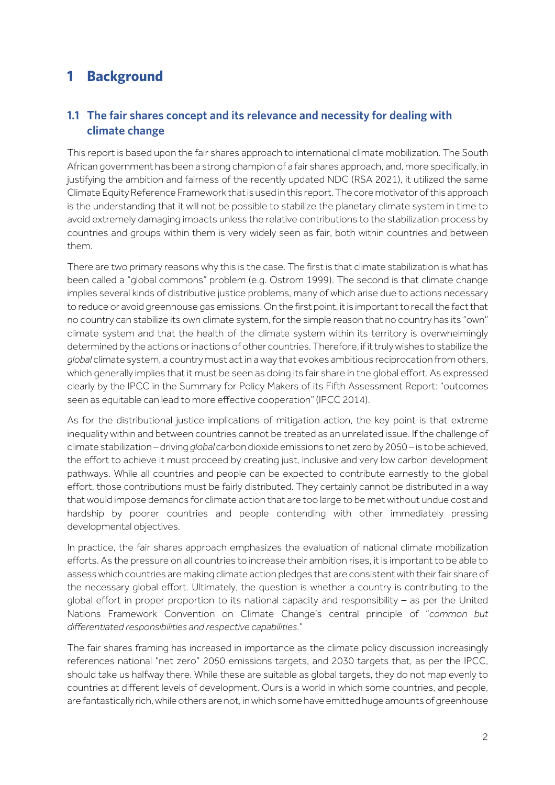## **1 Background**

#### **1.1 The fair shares concept and its relevance and necessity for dealing with climate change**

This report is based upon the fair shares approach to international climate mobilization. The South African government has been a strong champion of a fair shares approach, and, more specifically, in justifying the ambition and fairness of the recently updated NDC (RSA 2021), it utilized the same Climate Equity Reference Framework that is used in this report.The core motivator of this approach is the understanding that it will not be possible to stabilize the planetary climate system in time to avoid extremely damaging impacts unless the relative contributions to the stabilization process by countries and groups within them is very widely seen as fair, both within countries and between them.

There are two primary reasons why this is the case. The first is that climate stabilization is what has been called a "global commons" problem (e.g. Ostrom 1999). The second is that climate change implies several kinds of distributive justice problems, many of which arise due to actions necessary to reduce or avoid greenhouse gas emissions. On the first point, it is important to recall the fact that no country can stabilize its own climate system, for the simple reason that no country has its "own" climate system and that the health of the climate system within its territory is overwhelmingly determined by the actions or inactions of other countries. Therefore, if it truly wishes to stabilize the *global* climate system, a country must act in a way that evokes ambitious reciprocation from others, which generally implies that it must be seen as doing its fair share in the global effort. As expressed clearly by the IPCC in the Summary for Policy Makers of its Fifth Assessment Report: "outcomes seen as equitable can lead to more effective cooperation" (IPCC 2014).

As for the distributional justice implications of mitigation action, the key point is that extreme inequality within and between countries cannot be treated as an unrelated issue. If the challenge of climate stabilization – driving *global* carbon dioxide emissions to net zero by 2050 – is to be achieved, the effort to achieve it must proceed by creating just, inclusive and very low carbon development pathways. While all countries and people can be expected to contribute earnestly to the global effort, those contributions must be fairly distributed. They certainly cannot be distributed in a way that would impose demands for climate action that are too large to be met without undue cost and hardship by poorer countries and people contending with other immediately pressing developmental objectives.

In practice, the fair shares approach emphasizes the evaluation of national climate mobilization efforts. As the pressure on all countries to increase their ambition rises, it is important to be able to assess which countries are making climate action pledges that are consistent with their fair share of the necessary global effort. Ultimately, the question is whether a country is contributing to the global effort in proper proportion to its national capacity and responsibility – as per the United Nations Framework Convention on Climate Change's central principle of "*common but differentiated responsibilities and respective capabilities*."

The fair shares framing has increased in importance as the climate policy discussion increasingly references national "net zero" 2050 emissions targets, and 2030 targets that, as per the IPCC, should take us halfway there. While these are suitable as global targets, they do not map evenly to countries at different levels of development. Ours is a world in which some countries, and people, are fantastically rich, while others are not, in which some have emitted huge amounts of greenhouse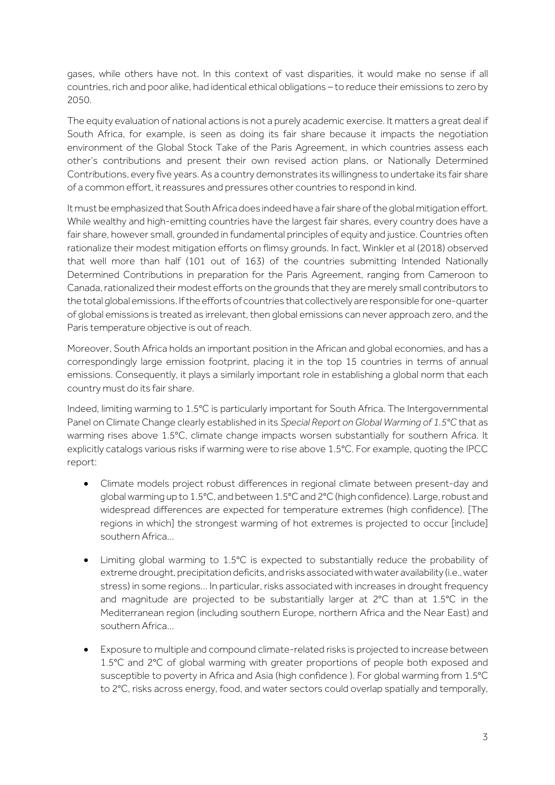gases, while others have not. In this context of vast disparities, it would make no sense if all countries, rich and poor alike, had identical ethical obligations – to reduce their emissions to zero by 2050.

The equity evaluation of national actions is not a purely academic exercise. It matters a great deal if South Africa, for example, is seen as doing its fair share because it impacts the negotiation environment of the Global Stock Take of the Paris Agreement, in which countries assess each other's contributions and present their own revised action plans, or Nationally Determined Contributions, every five years. As a country demonstrates its willingness to undertake its fair share of a common effort, it reassures and pressures other countries to respond in kind.

It must be emphasized that South Africa does indeed have a fair share of the global mitigation effort. While wealthy and high-emitting countries have the largest fair shares, every country does have a fair share, however small, grounded in fundamental principles of equity and justice. Countries often rationalize their modest mitigation efforts on flimsy grounds. In fact, Winkler et al (2018) observed that well more than half (101 out of 163) of the countries submitting Intended Nationally Determined Contributions in preparation for the Paris Agreement, ranging from Cameroon to Canada, rationalized their modest efforts on the grounds that they are merely small contributors to the total global emissions. If the efforts of countries that collectively are responsible for one-quarter of global emissions is treated as irrelevant, then global emissions can never approach zero, and the Paris temperature objective is out of reach.

Moreover, South Africa holds an important position in the African and global economies, and has a correspondingly large emission footprint, placing it in the top 15 countries in terms of annual emissions. Consequently, it plays a similarly important role in establishing a global norm that each country must do its fair share.

Indeed, limiting warming to 1.5°C is particularly important for South Africa. The Intergovernmental Panel on Climate Change clearly established in its *Special Report on Global Warming of 1.5°C* that as warming rises above 1.5°C, climate change impacts worsen substantially for southern Africa. It explicitly catalogs various risks if warming were to rise above 1.5°C. For example, quoting the IPCC report:

- Climate models project robust differences in regional climate between present-day and global warming up to 1.5°C, and between 1.5°C and 2°C (high confidence). Large, robust and widespread differences are expected for temperature extremes (high confidence). [The regions in which] the strongest warming of hot extremes is projected to occur [include] southern Africa…
- Limiting global warming to 1.5°C is expected to substantially reduce the probability of extreme drought, precipitation deficits, and risks associated with water availability (i.e., water stress) in some regions… In particular, risks associated with increases in drought frequency and magnitude are projected to be substantially larger at 2°C than at 1.5°C in the Mediterranean region (including southern Europe, northern Africa and the Near East) and southern Africa…
- Exposure to multiple and compound climate-related risks is projected to increase between 1.5°C and 2°C of global warming with greater proportions of people both exposed and susceptible to poverty in Africa and Asia (high confidence ). For global warming from 1.5°C to 2°C, risks across energy, food, and water sectors could overlap spatially and temporally,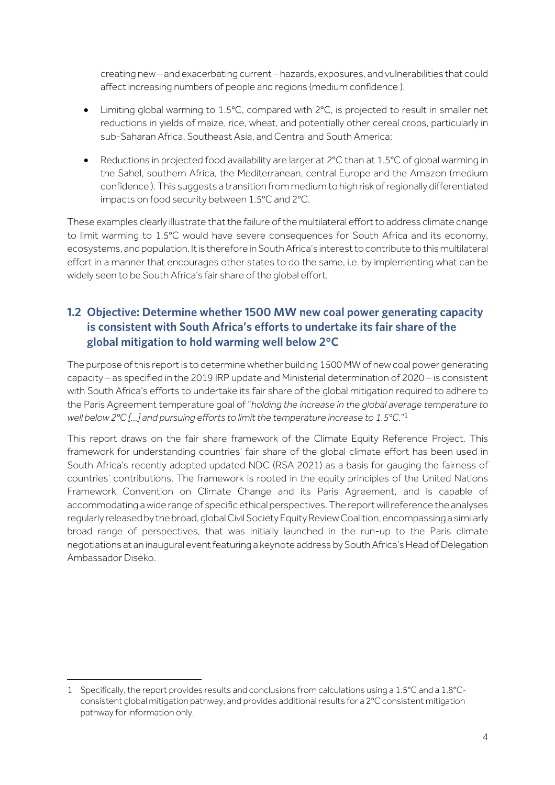creating new – and exacerbating current – hazards, exposures, and vulnerabilities that could affect increasing numbers of people and regions (medium confidence ).

- Limiting global warming to 1.5°C, compared with 2°C, is projected to result in smaller net reductions in yields of maize, rice, wheat, and potentially other cereal crops, particularly in sub-Saharan Africa, Southeast Asia, and Central and South America;
- Reductions in projected food availability are larger at 2°C than at 1.5°C of global warming in the Sahel, southern Africa, the Mediterranean, central Europe and the Amazon (medium confidence ). This suggests a transition from medium to high risk of regionally differentiated impacts on food security between 1.5°C and 2°C.

These examples clearly illustrate that the failure of the multilateral effort to address climate change to limit warming to 1.5°C would have severe consequences for South Africa and its economy, ecosystems, and population. It is therefore in South Africa's interest to contribute to this multilateral effort in a manner that encourages other states to do the same, i.e. by implementing what can be widely seen to be South Africa's fair share of the global effort.

#### **1.2 Objective: Determine whether 1500 MW new coal power generating capacity is consistent with South Africa's efforts to undertake its fair share of the global mitigation to hold warming well below 2°C**

The purpose of this report is to determine whether building 1500 MW of new coal power generating capacity – as specified in the 2019 IRP update and Ministerial determination of 2020 – is consistent with South Africa's efforts to undertake its fair share of the global mitigation required to adhere to the Paris Agreement temperature goal of "*holding the increase in the global average temperature to well below 2°C [...] and pursuing efforts to limit the temperature increase to 1.5°C*."1

This report draws on the fair share framework of the Climate Equity Reference Project. This framework for understanding countries' fair share of the global climate effort has been used in South Africa's recently adopted updated NDC (RSA 2021) as a basis for gauging the fairness of countries' contributions. The framework is rooted in the equity principles of the United Nations Framework Convention on Climate Change and its Paris Agreement, and is capable of accommodating a wide range of specific ethical perspectives. The report will reference the analyses regularly released by the broad, globalCivil Society Equity Review Coalition, encompassing a similarly broad range of perspectives, that was initially launched in the run-up to the Paris climate negotiations at an inaugural event featuring a keynote address by South Africa's Head of Delegation Ambassador Diseko.

<sup>1</sup> Specifically, the report provides results and conclusions from calculations using a 1.5°C and a 1.8°Cconsistent global mitigation pathway, and provides additional results for a 2°C consistent mitigation pathway for information only.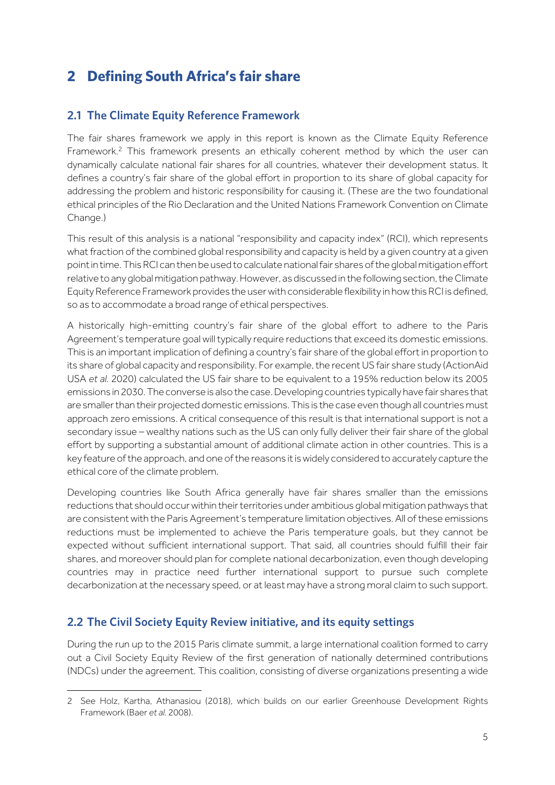## **2 Defining South Africa's fair share**

#### **2.1 The Climate Equity Reference Framework**

The fair shares framework we apply in this report is known as the Climate Equity Reference Framework.<sup>2</sup> This framework presents an ethically coherent method by which the user can dynamically calculate national fair shares for all countries, whatever their development status. It defines a country's fair share of the global effort in proportion to its share of global capacity for addressing the problem and historic responsibility for causing it. (These are the two foundational ethical principles of the Rio Declaration and the United Nations Framework Convention on Climate Change.)

This result of this analysis is a national "responsibility and capacity index" (RCI), which represents what fraction of the combined global responsibility and capacity is held by a given country at a given point in time. This RCI can then be used to calculate national fair shares of the global mitigation effort relative to any global mitigation pathway.However, as discussed in the following section, the Climate Equity Reference Framework provides the user with considerable flexibility in how this RCI is defined, so as to accommodate a broad range of ethical perspectives.

A historically high-emitting country's fair share of the global effort to adhere to the Paris Agreement's temperature goal will typically require reductions that exceed its domestic emissions. This is an important implication of defining a country's fair share of the global effort in proportion to its share of global capacity and responsibility. For example, the recent US fair share study (ActionAid USA *et al.* 2020) calculated the US fair share to be equivalent to a 195% reduction below its 2005 emissions in 2030. The converse is also the case. Developing countries typically have fair shares that are smaller than their projected domestic emissions. This is the case even though all countries must approach zero emissions. A critical consequence of this result is that international support is not a secondary issue – wealthy nations such as the US can only fully deliver their fair share of the global effort by supporting a substantial amount of additional climate action in other countries. This is a key feature of the approach, and one of the reasons it is widely considered to accurately capture the ethical core of the climate problem.

Developing countries like South Africa generally have fair shares smaller than the emissions reductions that should occur within their territories under ambitious global mitigation pathways that are consistent with the Paris Agreement's temperature limitation objectives. All of these emissions reductions must be implemented to achieve the Paris temperature goals, but they cannot be expected without sufficient international support. That said, all countries should fulfill their fair shares, and moreover should plan for complete national decarbonization, even though developing countries may in practice need further international support to pursue such complete decarbonization at the necessary speed, or at least may have a strong moral claim to such support.

#### **2.2 The Civil Society Equity Review initiative, and its equity settings**

During the run up to the 2015 Paris climate summit, a large international coalition formed to carry out a Civil Society Equity Review of the first generation of nationally determined contributions (NDCs) under the agreement. This coalition, consisting of diverse organizations presenting a wide

<sup>2</sup> See Holz, Kartha, Athanasiou (2018), which builds on our earlier Greenhouse Development Rights Framework (Baer *et al.* 2008).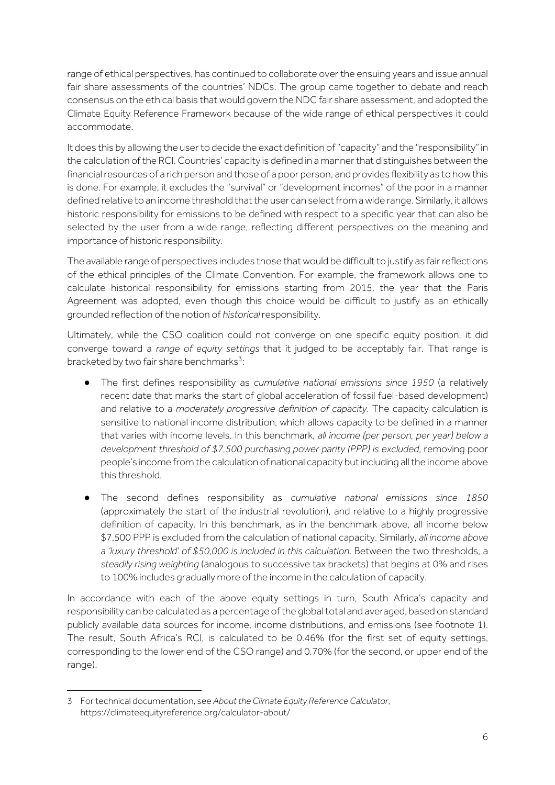range of ethical perspectives, has continued to collaborate over the ensuing years and issue annual fair share assessments of the countries' NDCs. The group came together to debate and reach consensus on the ethical basis that would govern the NDC fair share assessment, and adopted the Climate Equity Reference Framework because of the wide range of ethical perspectives it could accommodate.

It does this by allowing the user to decide the exact definition of "capacity" and the "responsibility" in the calculation of the RCI. Countries' capacity is defined in a manner that distinguishes between the financial resources of a rich person and those of a poor person, and provides flexibility as to how this is done. For example, it excludes the "survival" or "development incomes" of the poor in a manner defined relative to an income threshold that the user can select from a wide range. Similarly, it allows historic responsibility for emissions to be defined with respect to a specific year that can also be selected by the user from a wide range, reflecting different perspectives on the meaning and importance of historic responsibility.

The available range of perspectives includes those that would be difficult to justify as fair reflections of the ethical principles of the Climate Convention. For example, the framework allows one to calculate historical responsibility for emissions starting from 2015, the year that the Paris Agreement was adopted, even though this choice would be difficult to justify as an ethically grounded reflection of the notion of *historical* responsibility.

Ultimately, while the CSO coalition could not converge on one specific equity position, it did converge toward a *range of equity settings* that it judged to be acceptably fair. That range is bracketed by two fair share benchmarks<sup>3</sup>:

- The first defines responsibility as *cumulative national emissions since 1950* (a relatively recent date that marks the start of global acceleration of fossil fuel-based development) and relative to a *moderately progressive definition of capacity*. The capacity calculation is sensitive to national income distribution, which allows capacity to be defined in a manner that varies with income levels. In this benchmark, *all income (per person, per year) below a development threshold of \$7,500 purchasing power parity (PPP) is excluded*, removing poor people's income from the calculation of national capacity but including all the income above this threshold.
- The second defines responsibility as *cumulative national emissions since 1850* (approximately the start of the industrial revolution), and relative to a highly progressive definition of capacity. In this benchmark, as in the benchmark above, all income below \$7,500 PPP is excluded from the calculation of national capacity. Similarly, *all income above a 'luxury threshold' of \$50,000 is included in this calculation*. Between the two thresholds, a *steadily rising weighting* (analogous to successive tax brackets) that begins at 0% and rises to 100% includes gradually more of the income in the calculation of capacity.

In accordance with each of the above equity settings in turn, South Africa's capacity and responsibility can be calculated as a percentage of the global total and averaged, based on standard publicly available data sources for income, income distributions, and emissions (see footnote 1). The result, South Africa's RCI, is calculated to be 0.46% (for the first set of equity settings, corresponding to the lower end of the CSO range) and 0.70% (for the second, or upper end of the range).

<sup>3</sup> For technical documentation, see *About the Climate Equity Reference Calculator*, https://climateequityreference.org/calculator-about/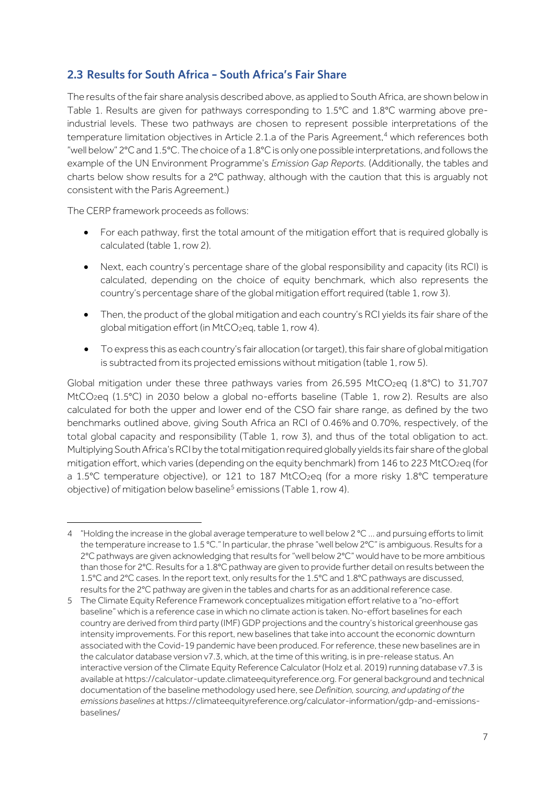#### **2.3 Results for South Africa – South Africa's Fair Share**

The results of the fair share analysis described above, as applied to South Africa, are shown belowin Table 1. Results are given for pathways corresponding to 1.5°C and 1.8°C warming above preindustrial levels. These two pathways are chosen to represent possible interpretations of the temperature limitation objectives in Article 2.1.a of the Paris Agreement,<sup>4</sup> which references both "well below" 2°C and 1.5°C. The choice of a 1.8°C is only one possible interpretations, and follows the example of the UN Environment Programme's *Emission Gap Reports.* (Additionally, the tables and charts below show results for a 2°C pathway, although with the caution that this is arguably not consistent with the Paris Agreement.)

The CERP framework proceeds as follows:

- For each pathway, first the total amount of the mitigation effort that is required globally is calculated (table 1, row 2).
- Next, each country's percentage share of the global responsibility and capacity (its RCI) is calculated, depending on the choice of equity benchmark, which also represents the country's percentage share of the global mitigation effort required (table 1, row 3).
- Then, the product of the global mitigation and each country's RCI yields its fair share of the global mitigation effort (in MtCO<sub>2</sub>eq, table 1, row 4).
- To express this as each country's fair allocation (or target), this fair share of global mitigation is subtracted from its projected emissions without mitigation (table 1, row 5).

Global mitigation under these three pathways varies from 26,595 MtCO<sub>2</sub>eq (1.8°C) to 31,707 MtCO<sub>2</sub>eq (1.5°C) in 2030 below a global no-efforts baseline (Table 1, row 2). Results are also calculated for both the upper and lower end of the CSO fair share range, as defined by the two benchmarks outlined above, giving South Africa an RCI of 0.46% and 0.70%, respectively, of the total global capacity and responsibility (Table 1, row 3), and thus of the total obligation to act. Multiplying South Africa's RCI by the total mitigation required globally yields its fair share of the global mitigation effort, which varies (depending on the equity benchmark) from 146 to 223 MtCO2eq (for a 1.5°C temperature objective), or 121 to 187 MtCO<sub>2eq</sub> (for a more risky 1.8°C temperature objective) of mitigation below baseline<sup>5</sup> emissions (Table 1, row 4).

<sup>4</sup> "Holding the increase in the global average temperature to well below 2 °C … and pursuing efforts to limit the temperature increase to 1.5 °C." In particular, the phrase "well below 2°C" is ambiguous. Results for a 2°C pathways are given acknowledging that results for "well below 2°C" would have to be more ambitious than those for 2°C. Results for a 1.8°C pathway are given to provide further detail on results between the 1.5°C and 2°C cases. In the report text, only results for the 1.5°C and 1.8°C pathways are discussed, results for the 2°C pathway are given in the tables and charts for as an additional reference case.

<sup>5</sup> The Climate Equity Reference Framework conceptualizes mitigation effort relative to a "no-effort baseline" which is a reference case in which no climate action is taken. No-effort baselines for each country are derived from third party (IMF) GDP projections and the country's historical greenhouse gas intensity improvements. For this report, new baselines that take into account the economic downturn associated with the Covid-19 pandemic have been produced. For reference, these new baselines are in the calculator database version v7.3, which, at the time of this writing, is in pre-release status. An interactive version of the Climate Equity Reference Calculator (Holz et al. 2019) running database v7.3 is available at https://calculator-update.climateequityreference.org. For general background and technical documentation of the baseline methodology used here, see *Definition, sourcing, and updating of the emissions baselines* at https://climateequityreference.org/calculator-information/gdp-and-emissionsbaselines/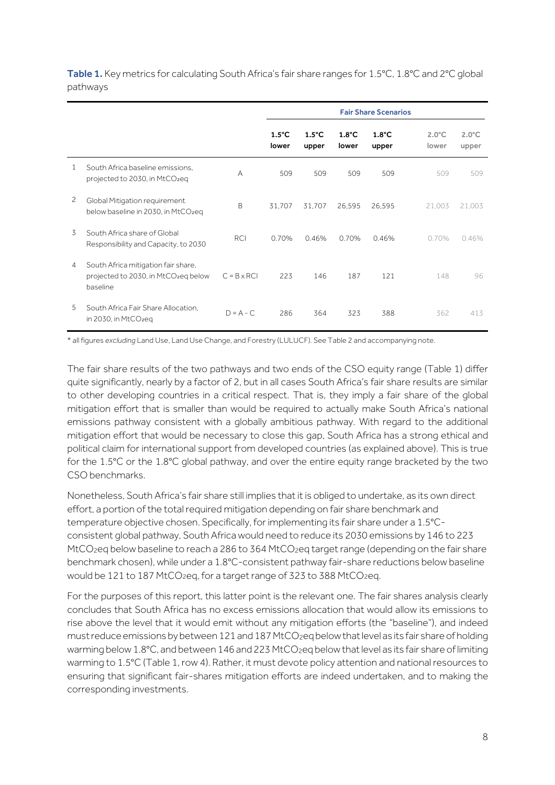|   |                                                                                                     |                    | <b>Fair Share Scenarios</b> |                          |                          |                          |                          |                          |
|---|-----------------------------------------------------------------------------------------------------|--------------------|-----------------------------|--------------------------|--------------------------|--------------------------|--------------------------|--------------------------|
|   |                                                                                                     |                    | $1.5^{\circ}$ C<br>lower    | $1.5^{\circ}$ C<br>upper | $1.8^{\circ}$ C<br>lower | $1.8^{\circ}$ C<br>upper | $2.0^{\circ}$ C<br>lower | $2.0^{\circ}$ C<br>upper |
| 1 | South Africa baseline emissions.<br>projected to 2030, in MtCO <sub>2</sub> eq                      | A                  | 509                         | 509                      | 509                      | 509                      | 509                      | 509                      |
| 2 | Global Mitigation requirement<br>below baseline in 2030, in MtCO <sub>2</sub> eq                    | B                  | 31,707                      | 31,707                   | 26,595                   | 26,595                   | 21,003                   | 21,003                   |
| 3 | South Africa share of Global<br>Responsibility and Capacity, to 2030                                | <b>RCI</b>         | 0.70%                       | 0.46%                    | 0.70%                    | 0.46%                    | 0.70%                    | 0.46%                    |
| 4 | South Africa mitigation fair share,<br>projected to 2030, in MtCO <sub>2</sub> eq below<br>baseline | $C = B \times RCI$ | 223                         | 146                      | 187                      | 121                      | 148                      | 96                       |
| 5 | South Africa Fair Share Allocation.<br>in 2030, in $MtCO_2$ eg                                      | $D = A - C$        | 286                         | 364                      | 323                      | 388                      | 362                      | 413                      |

Table 1. Key metrics for calculating South Africa's fair share ranges for 1.5°C, 1.8°C and 2°C global pathways

\* all figures *excluding* Land Use, Land Use Change, and Forestry (LULUCF). See Table 2 and accompanying note.

The fair share results of the two pathways and two ends of the CSO equity range (Table 1) differ quite significantly, nearly by a factor of 2, but in all cases South Africa's fair share results are similar to other developing countries in a critical respect. That is, they imply a fair share of the global mitigation effort that is smaller than would be required to actually make South Africa's national emissions pathway consistent with a globally ambitious pathway. With regard to the additional mitigation effort that would be necessary to close this gap, South Africa has a strong ethical and political claim for international support from developed countries (as explained above). This is true for the 1.5°C or the 1.8°C global pathway, and over the entire equity range bracketed by the two CSO benchmarks.

Nonetheless, South Africa's fair share still implies that it is obliged to undertake, as its own direct effort, a portion of the total required mitigation depending on fair share benchmark and temperature objective chosen. Specifically, for implementing its fair share under a 1.5°Cconsistent global pathway, South Africa would need to reduce its 2030 emissions by 146 to 223 MtCO<sub>2</sub>eq below baseline to reach a 286 to 364 MtCO<sub>2</sub>eq target range (depending on the fair share benchmark chosen), while under a 1.8°C-consistent pathway fair-share reductions below baseline would be 121 to 187 MtCO<sub>2</sub>eq, for a target range of 323 to 388 MtCO<sub>2</sub>eq.

For the purposes of this report, this latter point is the relevant one. The fair shares analysis clearly concludes that South Africa has no excess emissions allocation that would allow its emissions to rise above the level that it would emit without any mitigation efforts (the "baseline"), and indeed must reduce emissions by between 121and 187 MtCO2eq below that level as its fair share of holding warming below 1.8°C, and between 146 and 223 MtCO<sub>2</sub>eq below that level as its fair share of limiting warming to 1.5°C (Table 1, row 4). Rather, it must devote policy attention and national resources to ensuring that significant fair-shares mitigation efforts are indeed undertaken, and to making the corresponding investments.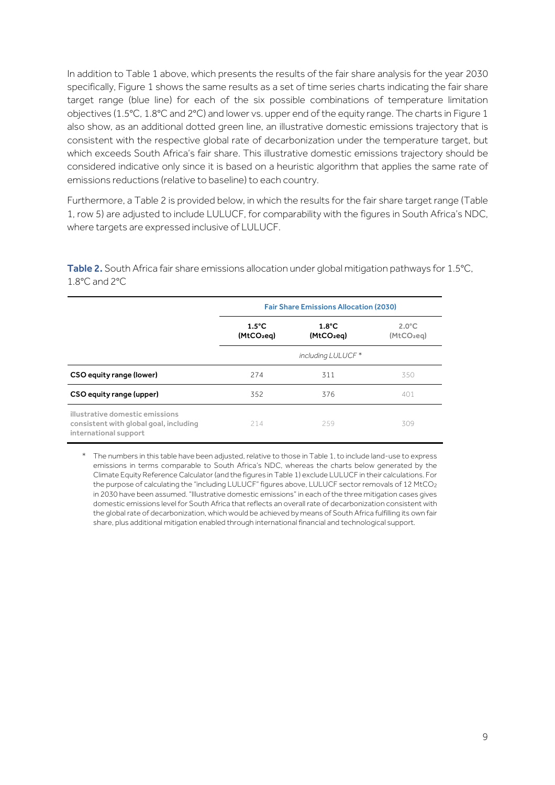In addition to Table 1 above, which presents the results of the fair share analysis for the year 2030 specifically, Figure 1 shows the same results as a set of time series charts indicating the fair share target range (blue line) for each of the six possible combinations of temperature limitation objectives (1.5°C, 1.8°C and 2°C) and lower vs. upper end of the equity range. The charts in Figure 1 also show, as an additional dotted green line, an illustrative domestic emissions trajectory that is consistent with the respective global rate of decarbonization under the temperature target, but which exceeds South Africa's fair share. This illustrative domestic emissions trajectory should be considered indicative only since it is based on a heuristic algorithm that applies the same rate of emissions reductions (relative to baseline) to each country.

Furthermore, a Table 2 is provided below, in which the results for the fair share target range (Table 1, row 5) are adjusted to include LULUCF, for comparability with the figures in South Africa's NDC, where targets are expressed inclusive of LULUCF.

Table 2. South Africa fair share emissions allocation under global mitigation pathways for 1.5°C, 1.8°C and 2°C

|                                                                                                    | <b>Fair Share Emissions Allocation (2030)</b> |                                 |                                 |
|----------------------------------------------------------------------------------------------------|-----------------------------------------------|---------------------------------|---------------------------------|
|                                                                                                    | $1.5^{\circ}$ C<br>(MtCO <sub>2</sub> eg)     | $1.8^{\circ}$ C<br>$(MtCO_2eq)$ | $2.0^{\circ}$ C<br>$(MtCO_2eq)$ |
|                                                                                                    |                                               | including LULUCF *              |                                 |
| CSO equity range (lower)                                                                           | 274                                           | 311                             | 350                             |
| CSO equity range (upper)                                                                           | 352                                           | 376                             | 401                             |
| illustrative domestic emissions<br>consistent with global goal, including<br>international support | 214                                           | 259                             | 309                             |

<sup>\*</sup> The numbers in this table have been adjusted, relative to those in Table 1, to include land-use to express emissions in terms comparable to South Africa's NDC, whereas the charts below generated by the Climate Equity Reference Calculator (and the figures in Table 1) exclude LULUCF in their calculations. For the purpose of calculating the "including LULUCF" figures above, LULUCF sector removals of 12 MtCO2 in 2030 have been assumed. "Illustrative domestic emissions" in each of the three mitigation cases gives domestic emissions level for South Africa that reflects an overall rate of decarbonization consistent with the global rate of decarbonization, which would be achieved by means of South Africa fulfilling its own fair share, plus additional mitigation enabled through international financial and technological support.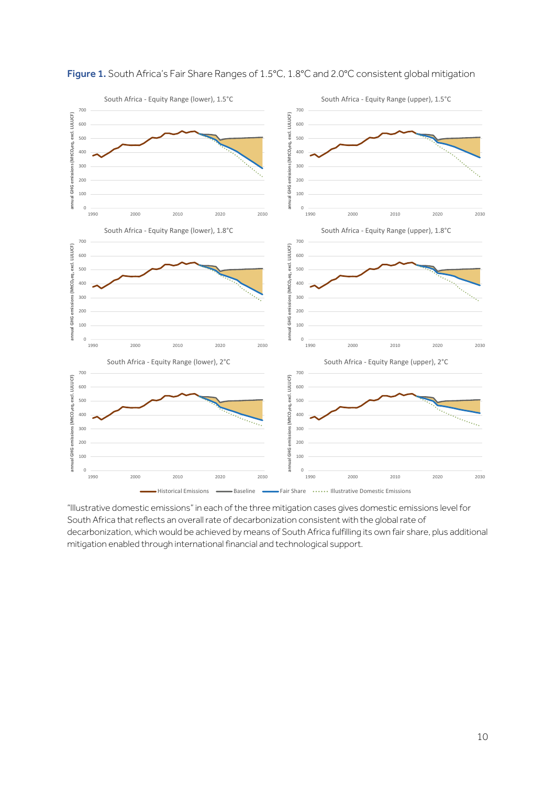

#### Figure 1. South Africa's Fair Share Ranges of 1.5°C, 1.8°C and 2.0°C consistent global mitigation

"Illustrative domestic emissions" in each of the three mitigation cases gives domestic emissions level for South Africa that reflects an overall rate of decarbonization consistent with the global rate of decarbonization, which would be achieved by means of South Africa fulfilling its own fair share, plus additional mitigation enabled through international financial and technological support.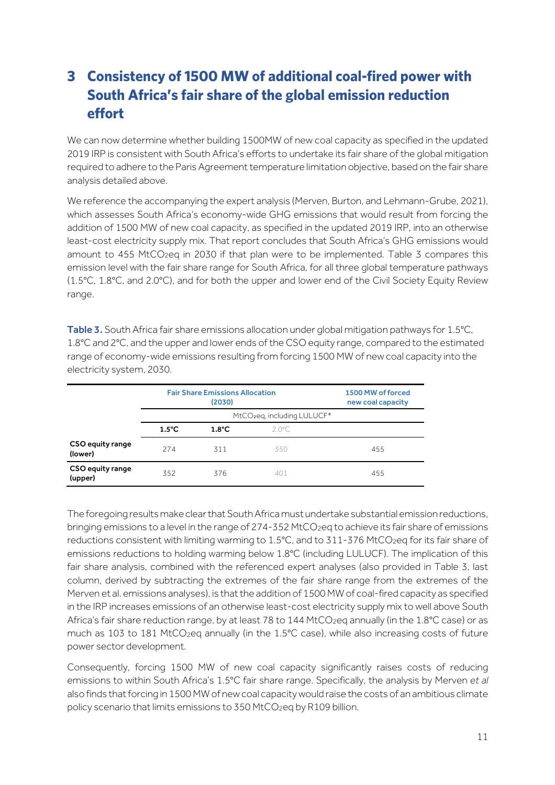# **3 Consistency of 1500 MW of additional coal-fired power with South Africa's fair share of the global emission reduction effort**

We can now determine whether building 1500MW of new coal capacity as specified in the updated 2019 IRP is consistent with South Africa's efforts to undertake its fair share of the global mitigation required to adhere to the Paris Agreement temperature limitation objective, based on the fair share analysis detailed above.

We reference the accompanying the expert analysis (Merven, Burton, and Lehmann-Grube, 2021), which assesses South Africa's economy-wide GHG emissions that would result from forcing the addition of 1500 MW of new coal capacity, as specified in the updated 2019 IRP, into an otherwise least-cost electricity supply mix. That report concludes that South Africa's GHG emissions would amount to 455 MtCO<sub>2</sub>eq in 2030 if that plan were to be implemented. Table 3 compares this emission level with the fair share range for South Africa, for all three global temperature pathways (1.5°C, 1.8°C, and 2.0°C), and for both the upper and lower end of the Civil Society Equity Review range.

Table 3. South Africa fair share emissions allocation under global mitigation pathways for 1.5°C, 1.8°C and 2°C, and the upper and lower ends of the CSO equity range, compared to the estimated range of economy-wide emissions resulting from forcing 1500 MW of new coal capacity into the electricity system, 2030.

|                             | <b>Fair Share Emissions Allocation</b><br>(2030) |                                         |                 | 1500 MW of forced<br>new coal capacity |
|-----------------------------|--------------------------------------------------|-----------------------------------------|-----------------|----------------------------------------|
|                             |                                                  | MtCO <sub>2</sub> eq, including LULUCF* |                 |                                        |
|                             | $1.5^{\circ}$ C                                  | $1.8^{\circ}$ C                         | $2.0^{\circ}$ C |                                        |
| CSO equity range<br>(lower) | 274                                              | 311                                     | 350             | 455                                    |
| CSO equity range<br>(upper) | 352                                              | 376                                     | 401             | 455                                    |

The foregoing results make clear that South Africa must undertake substantial emission reductions, bringing emissions to a level in the range of 274-352 MtCO<sub>2</sub>eq to achieve its fair share of emissions reductions consistent with limiting warming to 1.5°C, and to 311-376 MtCO<sub>2</sub>eq for its fair share of emissions reductions to holding warming below 1.8°C (including LULUCF). The implication of this fair share analysis, combined with the referenced expert analyses (also provided in Table 3, last column, derived by subtracting the extremes of the fair share range from the extremes of the Merven et al. emissions analyses), is that the addition of 1500 MW of coal-fired capacity as specified in the IRP increases emissions of an otherwise least-cost electricity supply mix to well above South Africa's fair share reduction range, by at least 78 to 144 MtCO<sub>2</sub>eg annually (in the 1.8°C case) or as much as 103 to 181 MtCO<sub>2</sub>eq annually (in the 1.5°C case), while also increasing costs of future power sector development.

Consequently, forcing 1500 MW of new coal capacity significantly raises costs of reducing emissions to within South Africa's 1.5°C fair share range. Specifically, the analysis by Merven *et al* also finds that forcing in 1500 MW of new coal capacity would raise the costs of an ambitious climate policy scenario that limits emissions to 350 MtCO<sub>2</sub>eq by R109 billion.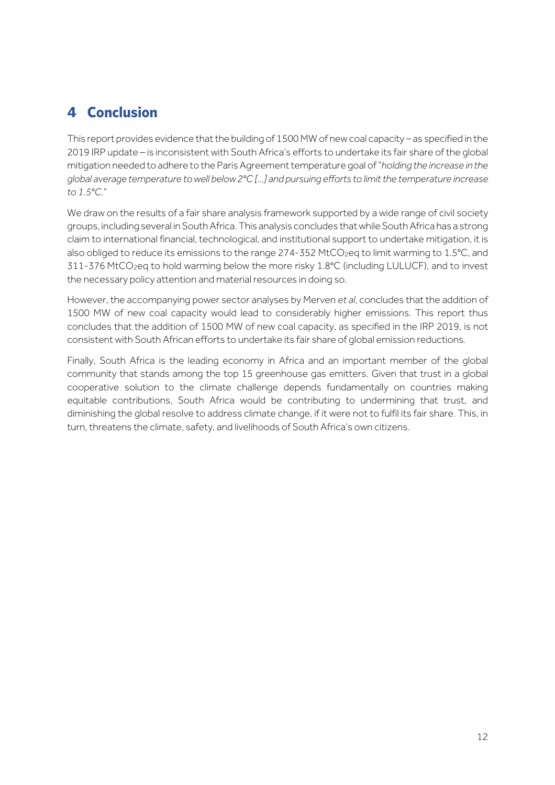## **4 Conclusion**

This report provides evidence that the building of 1500MW of new coal capacity – as specified in the 2019 IRP update – is inconsistent with South Africa's efforts to undertake its fair share of the global mitigation needed to adhere to the Paris Agreement temperature goal of "*holding the increase in the global average temperature to well below 2°C [...] and pursuing efforts to limit the temperature increase to 1.5°C*."

We draw on the results of a fair share analysis framework supported by a wide range of civil society groups, including several in South Africa. This analysis concludes that while South Africa has a strong claim to international financial, technological, and institutional support to undertake mitigation, it is also obliged to reduce its emissions to the range 274-352 MtCO<sub>2</sub>eg to limit warming to 1.5°C, and 311-376 MtCO2eq to hold warming below the more risky 1.8°C (including LULUCF), and to invest the necessary policy attention and material resources in doing so.

However, the accompanying power sector analyses by Merven *et al*, concludes that the addition of 1500 MW of new coal capacity would lead to considerably higher emissions. This report thus concludes that the addition of 1500 MW of new coal capacity, as specified in the IRP 2019, is not consistent with South African efforts to undertake its fair share of global emission reductions*.*

Finally, South Africa is the leading economy in Africa and an important member of the global community that stands among the top 15 greenhouse gas emitters. Given that trust in a global cooperative solution to the climate challenge depends fundamentally on countries making equitable contributions, South Africa would be contributing to undermining that trust, and diminishing the global resolve to address climate change, if it were not to fulfil its fair share. This, in turn, threatens the climate, safety, and livelihoods of South Africa's own citizens.